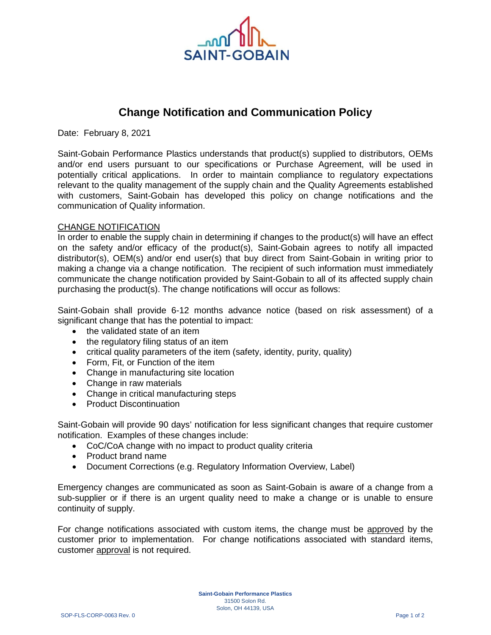

## **Change Notification and Communication Policy**

Date: February 8, 2021

Saint-Gobain Performance Plastics understands that product(s) supplied to distributors, OEMs and/or end users pursuant to our specifications or Purchase Agreement, will be used in potentially critical applications. In order to maintain compliance to regulatory expectations relevant to the quality management of the supply chain and the Quality Agreements established with customers, Saint-Gobain has developed this policy on change notifications and the communication of Quality information.

## CHANGE NOTIFICATION

In order to enable the supply chain in determining if changes to the product(s) will have an effect on the safety and/or efficacy of the product(s), Saint-Gobain agrees to notify all impacted distributor(s), OEM(s) and/or end user(s) that buy direct from Saint-Gobain in writing prior to making a change via a change notification. The recipient of such information must immediately communicate the change notification provided by Saint-Gobain to all of its affected supply chain purchasing the product(s). The change notifications will occur as follows:

Saint-Gobain shall provide 6-12 months advance notice (based on risk assessment) of a significant change that has the potential to impact:

- the validated state of an item
- the regulatory filing status of an item
- critical quality parameters of the item (safety, identity, purity, quality)
- Form, Fit, or Function of the item
- Change in manufacturing site location
- Change in raw materials
- Change in critical manufacturing steps
- Product Discontinuation

Saint-Gobain will provide 90 days' notification for less significant changes that require customer notification. Examples of these changes include:

- CoC/CoA change with no impact to product quality criteria
- Product brand name
- Document Corrections (e.g. Regulatory Information Overview, Label)

Emergency changes are communicated as soon as Saint-Gobain is aware of a change from a sub-supplier or if there is an urgent quality need to make a change or is unable to ensure continuity of supply.

For change notifications associated with custom items, the change must be approved by the customer prior to implementation. For change notifications associated with standard items, customer approval is not required.